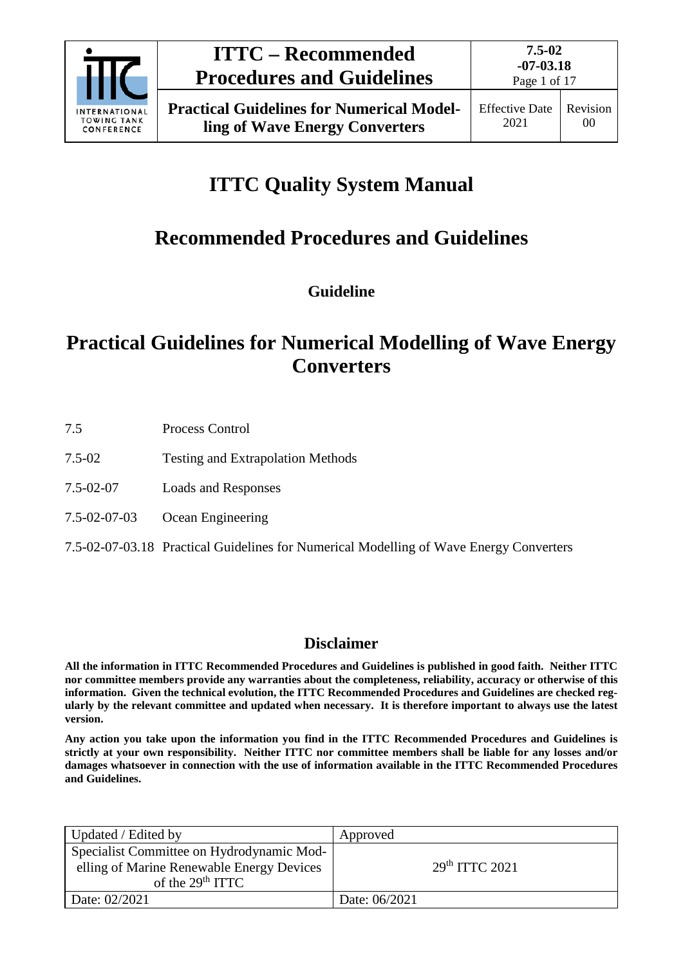

Page 1 of 17

# **ITTC Quality System Manual**

# **Recommended Procedures and Guidelines**

**Guideline**

# **Practical Guidelines for Numerical Modelling of Wave Energy Converters**

- 7.5 Process Control
- 7.5-02 Testing and Extrapolation Methods
- 7.5-02-07 Loads and Responses
- 7.5-02-07-03 Ocean Engineering
- 7.5-02-07-03.18 Practical Guidelines for Numerical Modelling of Wave Energy Converters

## **Disclaimer**

**All the information in ITTC Recommended Procedures and Guidelines is published in good faith. Neither ITTC nor committee members provide any warranties about the completeness, reliability, accuracy or otherwise of this information. Given the technical evolution, the ITTC Recommended Procedures and Guidelines are checked regularly by the relevant committee and updated when necessary. It is therefore important to always use the latest version.**

**Any action you take upon the information you find in the ITTC Recommended Procedures and Guidelines is strictly at your own responsibility. Neither ITTC nor committee members shall be liable for any losses and/or damages whatsoever in connection with the use of information available in the ITTC Recommended Procedures and Guidelines.**

| Updated / Edited by                                                                                                    | Approved                   |
|------------------------------------------------------------------------------------------------------------------------|----------------------------|
| Specialist Committee on Hydrodynamic Mod-<br>elling of Marine Renewable Energy Devices<br>of the 29 <sup>th</sup> ITTC | 29 <sup>th</sup> TTTC 2021 |
| Date: 02/2021                                                                                                          | Date: 06/2021              |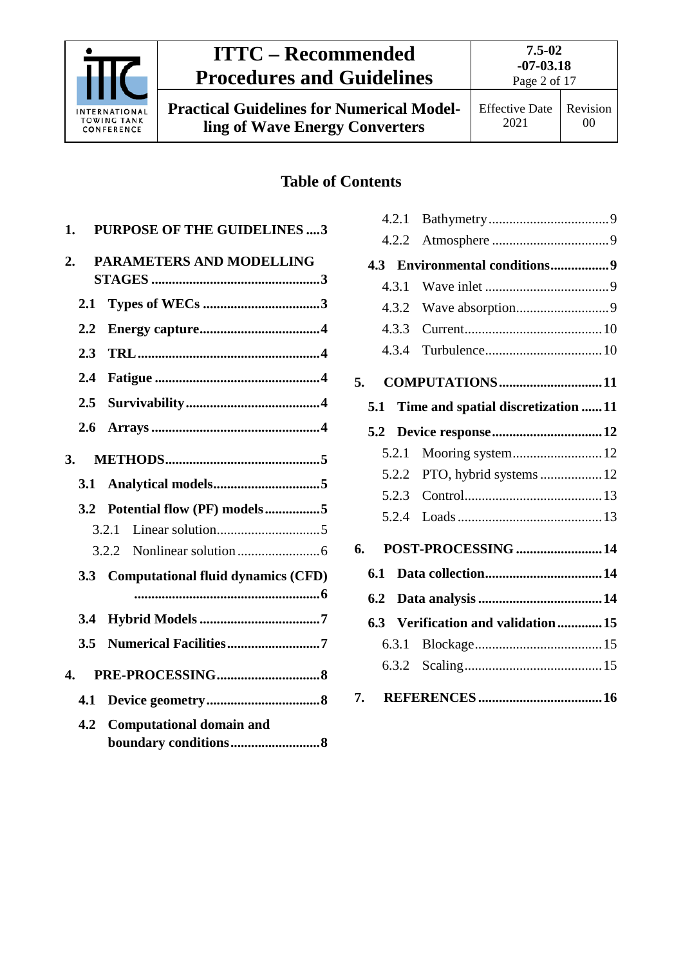

# **ITTC – Recommended Procedures and Guidelines**

**Practical Guidelines for Numerical Modelling of Wave Energy Converters**

00

# **Table of Contents**

| 1.               |     | <b>PURPOSE OF THE GUIDELINES3</b>      |  |
|------------------|-----|----------------------------------------|--|
| $\overline{2}$ . |     | PARAMETERS AND MODELLING               |  |
|                  | 2.1 |                                        |  |
|                  | 2.2 |                                        |  |
|                  | 2.3 |                                        |  |
|                  | 2.4 |                                        |  |
|                  | 2.5 |                                        |  |
|                  | 2.6 |                                        |  |
| 3.               |     |                                        |  |
|                  | 3.1 |                                        |  |
|                  | 3.2 | Potential flow (PF) models5            |  |
|                  |     | 3.2.1                                  |  |
|                  |     |                                        |  |
|                  |     | 3.3 Computational fluid dynamics (CFD) |  |
|                  |     |                                        |  |
|                  | 3.4 |                                        |  |
|                  | 3.5 | Numerical Facilities7                  |  |
| 4.               |     |                                        |  |
|                  | 4.1 |                                        |  |
|                  | 4.2 | <b>Computational domain and</b>        |  |

|     | 4.2.1 |                                    |  |
|-----|-------|------------------------------------|--|
|     | 4.2.2 |                                    |  |
| 4.3 |       | <b>Environmental conditions9</b>   |  |
|     | 4.3.1 |                                    |  |
|     | 4.3.2 |                                    |  |
|     | 4.3.3 |                                    |  |
|     | 4.3.4 |                                    |  |
| 5.  |       | COMPUTATIONS11                     |  |
| 5.1 |       | Time and spatial discretization 11 |  |
| 5.2 |       | Device response 12                 |  |
|     | 5.2.1 |                                    |  |
|     | 5.2.2 | PTO, hybrid systems  12            |  |
|     | 5.2.3 |                                    |  |
|     | 5.2.4 |                                    |  |
| 6.  |       | POST-PROCESSING 14                 |  |
| 6.1 |       |                                    |  |
| 6.2 |       |                                    |  |
| 6.3 |       | Verification and validation15      |  |
|     | 6.3.1 |                                    |  |
|     |       |                                    |  |
| 7.  |       |                                    |  |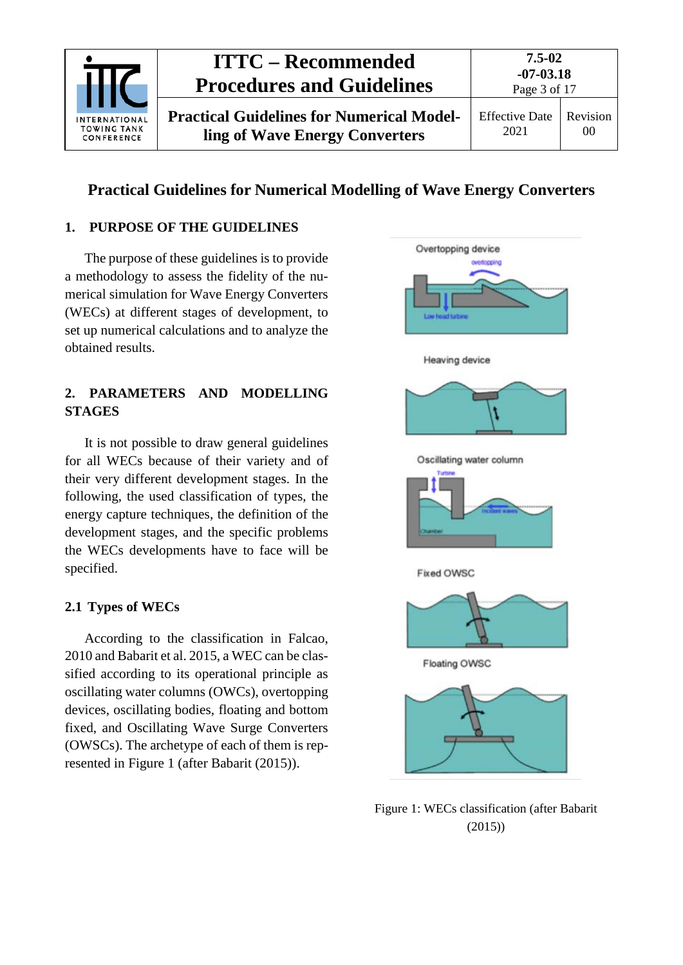

# **Practical Guidelines for Numerical Modelling of Wave Energy Converters**

### <span id="page-2-0"></span>**1. PURPOSE OF THE GUIDELINES**

The purpose of these guidelines is to provide a methodology to assess the fidelity of the numerical simulation for Wave Energy Converters (WECs) at different stages of development, to set up numerical calculations and to analyze the obtained results.

## <span id="page-2-1"></span>**2. PARAMETERS AND MODELLING STAGES**

It is not possible to draw general guidelines for all WECs because of their variety and of their very different development stages. In the following, the used classification of types, the energy capture techniques, the definition of the development stages, and the specific problems the WECs developments have to face will be specified.

### <span id="page-2-2"></span>**2.1 Types of WECs**

According to the classification in Falcao, 2010 and Babarit et al. 2015, a WEC can be classified according to its operational principle as oscillating water columns (OWCs), overtopping devices, oscillating bodies, floating and bottom fixed, and Oscillating Wave Surge Converters (OWSCs). The archetype of each of them is represented in [Figure](#page-2-3) 1 (after Babarit (2015)).



<span id="page-2-3"></span>Figure 1: WECs classification (after Babarit (2015))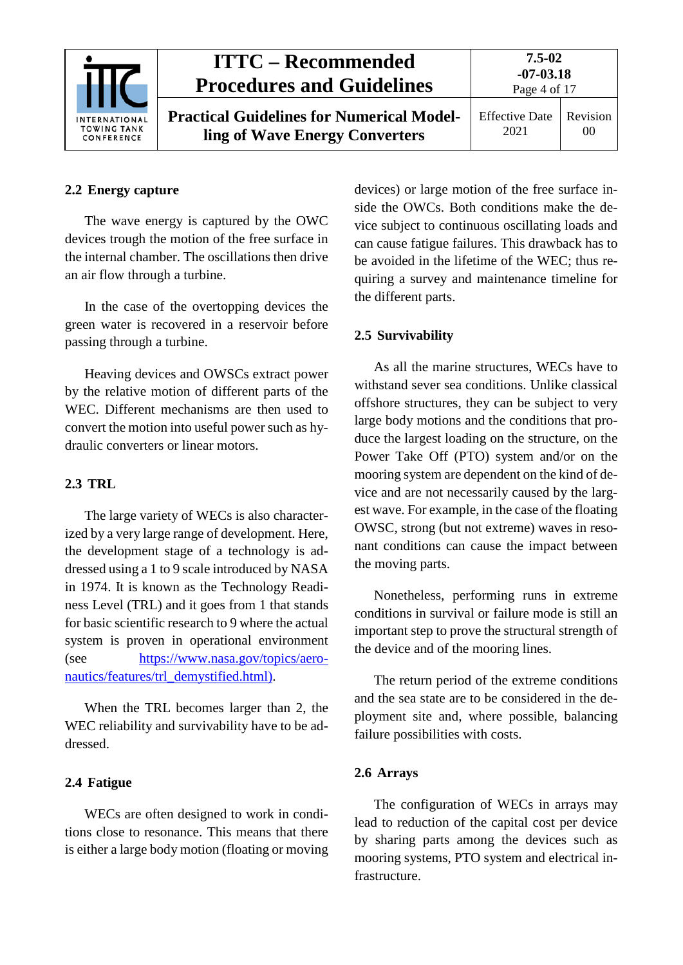

# **ITTC – Recommended Procedures and Guidelines**

**Practical Guidelines for Numerical Modelling of Wave Energy Converters**

**7.5-02 -07-03.18** Page 4 of 17

Effective Date 2021 Revision 00

## <span id="page-3-0"></span>**2.2 Energy capture**

The wave energy is captured by the OWC devices trough the motion of the free surface in the internal chamber. The oscillations then drive an air flow through a turbine.

In the case of the overtopping devices the green water is recovered in a reservoir before passing through a turbine.

Heaving devices and OWSCs extract power by the relative motion of different parts of the WEC. Different mechanisms are then used to convert the motion into useful power such as hydraulic converters or linear motors.

### <span id="page-3-1"></span>**2.3 TRL**

The large variety of WECs is also characterized by a very large range of development. Here, the development stage of a technology is addressed using a 1 to 9 scale introduced by NASA in 1974. It is known as the Technology Readiness Level (TRL) and it goes from 1 that stands for basic scientific research to 9 where the actual system is proven in operational environment (see [https://www.nasa.gov/topics/aero](https://www.nasa.gov/topics/aeronautics/features/trl_demystified.html))[nautics/features/trl\\_demystified.html\).](https://www.nasa.gov/topics/aeronautics/features/trl_demystified.html))

When the TRL becomes larger than 2, the WEC reliability and survivability have to be addressed.

### <span id="page-3-2"></span>**2.4 Fatigue**

WECs are often designed to work in conditions close to resonance. This means that there is either a large body motion (floating or moving devices) or large motion of the free surface inside the OWCs. Both conditions make the device subject to continuous oscillating loads and can cause fatigue failures. This drawback has to be avoided in the lifetime of the WEC; thus requiring a survey and maintenance timeline for the different parts.

## <span id="page-3-3"></span>**2.5 Survivability**

As all the marine structures, WECs have to withstand sever sea conditions. Unlike classical offshore structures, they can be subject to very large body motions and the conditions that produce the largest loading on the structure, on the Power Take Off (PTO) system and/or on the mooring system are dependent on the kind of device and are not necessarily caused by the largest wave. For example, in the case of the floating OWSC, strong (but not extreme) waves in resonant conditions can cause the impact between the moving parts.

Nonetheless, performing runs in extreme conditions in survival or failure mode is still an important step to prove the structural strength of the device and of the mooring lines.

The return period of the extreme conditions and the sea state are to be considered in the deployment site and, where possible, balancing failure possibilities with costs.

### <span id="page-3-4"></span>**2.6 Arrays**

The configuration of WECs in arrays may lead to reduction of the capital cost per device by sharing parts among the devices such as mooring systems, PTO system and electrical infrastructure.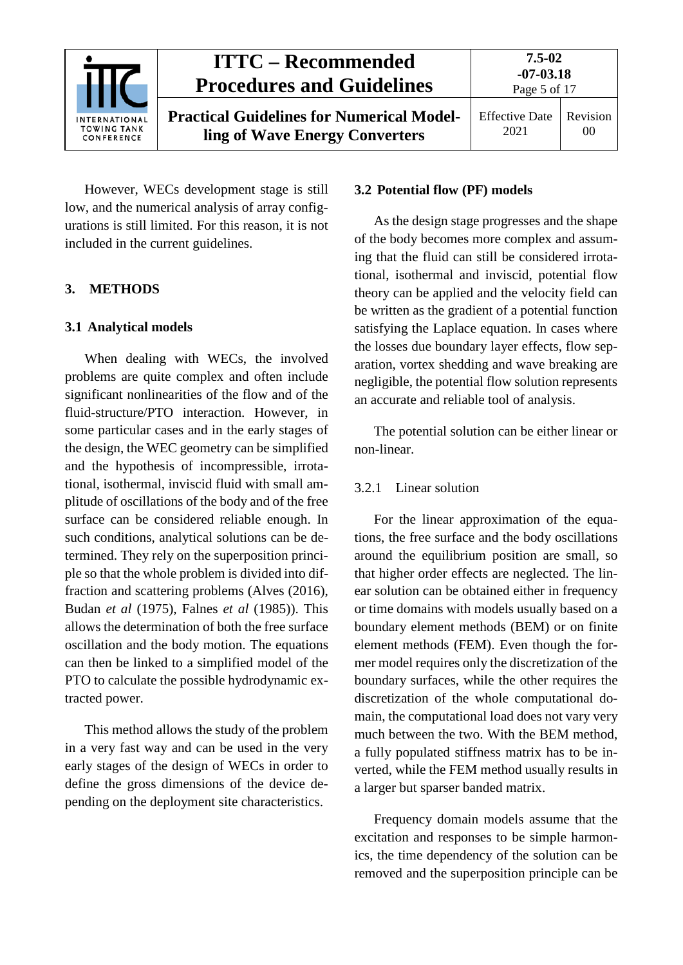

However, WECs development stage is still low, and the numerical analysis of array configurations is still limited. For this reason, it is not included in the current guidelines.

### <span id="page-4-1"></span><span id="page-4-0"></span>**3. METHODS**

### **3.1 Analytical models**

When dealing with WECs, the involved problems are quite complex and often include significant nonlinearities of the flow and of the fluid-structure/PTO interaction. However, in some particular cases and in the early stages of the design, the WEC geometry can be simplified and the hypothesis of incompressible, irrotational, isothermal, inviscid fluid with small amplitude of oscillations of the body and of the free surface can be considered reliable enough. In such conditions, analytical solutions can be determined. They rely on the superposition principle so that the whole problem is divided into diffraction and scattering problems (Alves (2016), Budan *et al* (1975), Falnes *et al* (1985)). This allows the determination of both the free surface oscillation and the body motion. The equations can then be linked to a simplified model of the PTO to calculate the possible hydrodynamic extracted power.

This method allows the study of the problem in a very fast way and can be used in the very early stages of the design of WECs in order to define the gross dimensions of the device depending on the deployment site characteristics.

#### <span id="page-4-2"></span>**3.2 Potential flow (PF) models**

As the design stage progresses and the shape of the body becomes more complex and assuming that the fluid can still be considered irrotational, isothermal and inviscid, potential flow theory can be applied and the velocity field can be written as the gradient of a potential function satisfying the Laplace equation. In cases where the losses due boundary layer effects, flow separation, vortex shedding and wave breaking are negligible, the potential flow solution represents an accurate and reliable tool of analysis.

The potential solution can be either linear or non-linear.

### <span id="page-4-3"></span>3.2.1 Linear solution

For the linear approximation of the equations, the free surface and the body oscillations around the equilibrium position are small, so that higher order effects are neglected. The linear solution can be obtained either in frequency or time domains with models usually based on a boundary element methods (BEM) or on finite element methods (FEM). Even though the former model requires only the discretization of the boundary surfaces, while the other requires the discretization of the whole computational domain, the computational load does not vary very much between the two. With the BEM method, a fully populated stiffness matrix has to be inverted, while the FEM method usually results in a larger but sparser banded matrix.

Frequency domain models assume that the excitation and responses to be simple harmonics, the time dependency of the solution can be removed and the superposition principle can be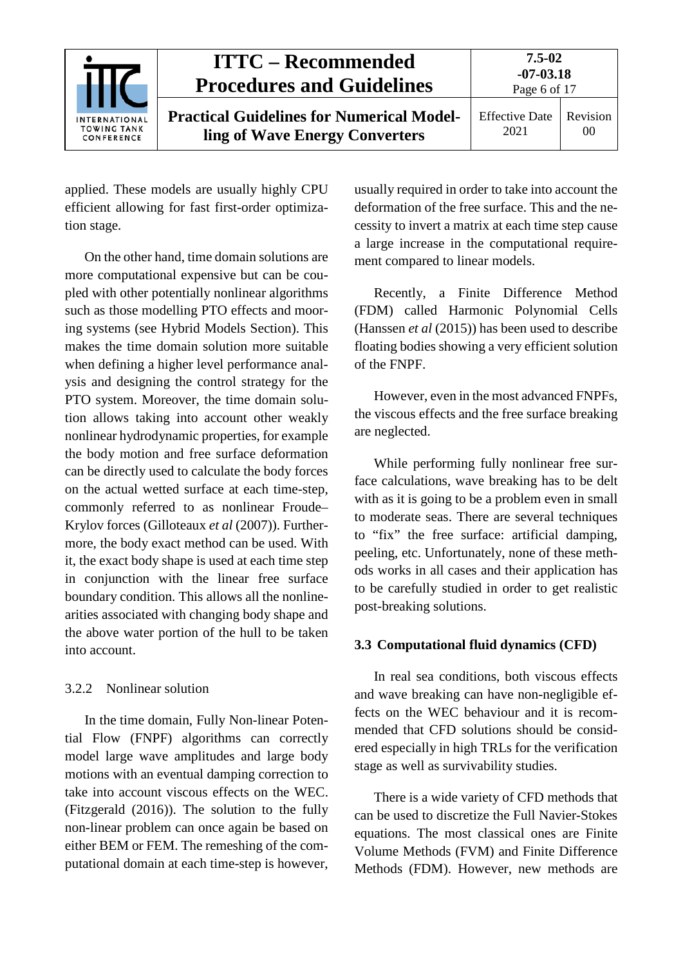

applied. These models are usually highly CPU efficient allowing for fast first-order optimization stage.

On the other hand, time domain solutions are more computational expensive but can be coupled with other potentially nonlinear algorithms such as those modelling PTO effects and mooring systems (see Hybrid Models Section). This makes the time domain solution more suitable when defining a higher level performance analysis and designing the control strategy for the PTO system. Moreover, the time domain solution allows taking into account other weakly nonlinear hydrodynamic properties, for example the body motion and free surface deformation can be directly used to calculate the body forces on the actual wetted surface at each time-step, commonly referred to as nonlinear Froude– Krylov forces (Gilloteaux *et al* (2007)). Furthermore, the body exact method can be used. With it, the exact body shape is used at each time step in conjunction with the linear free surface boundary condition. This allows all the nonlinearities associated with changing body shape and the above water portion of the hull to be taken into account.

### <span id="page-5-0"></span>3.2.2 Nonlinear solution

In the time domain, Fully Non-linear Potential Flow (FNPF) algorithms can correctly model large wave amplitudes and large body motions with an eventual damping correction to take into account viscous effects on the WEC. (Fitzgerald (2016)). The solution to the fully non-linear problem can once again be based on either BEM or FEM. The remeshing of the computational domain at each time-step is however,

usually required in order to take into account the deformation of the free surface. This and the necessity to invert a matrix at each time step cause a large increase in the computational requirement compared to linear models.

Recently, a Finite Difference Method (FDM) called Harmonic Polynomial Cells (Hanssen *et al* (2015)) has been used to describe floating bodies showing a very efficient solution of the FNPF.

However, even in the most advanced FNPFs, the viscous effects and the free surface breaking are neglected.

While performing fully nonlinear free surface calculations, wave breaking has to be delt with as it is going to be a problem even in small to moderate seas. There are several techniques to "fix" the free surface: artificial damping, peeling, etc. Unfortunately, none of these methods works in all cases and their application has to be carefully studied in order to get realistic post-breaking solutions.

### <span id="page-5-1"></span>**3.3 Computational fluid dynamics (CFD)**

In real sea conditions, both viscous effects and wave breaking can have non-negligible effects on the WEC behaviour and it is recommended that CFD solutions should be considered especially in high TRLs for the verification stage as well as survivability studies.

There is a wide variety of CFD methods that can be used to discretize the Full Navier-Stokes equations. The most classical ones are Finite Volume Methods (FVM) and Finite Difference Methods (FDM). However, new methods are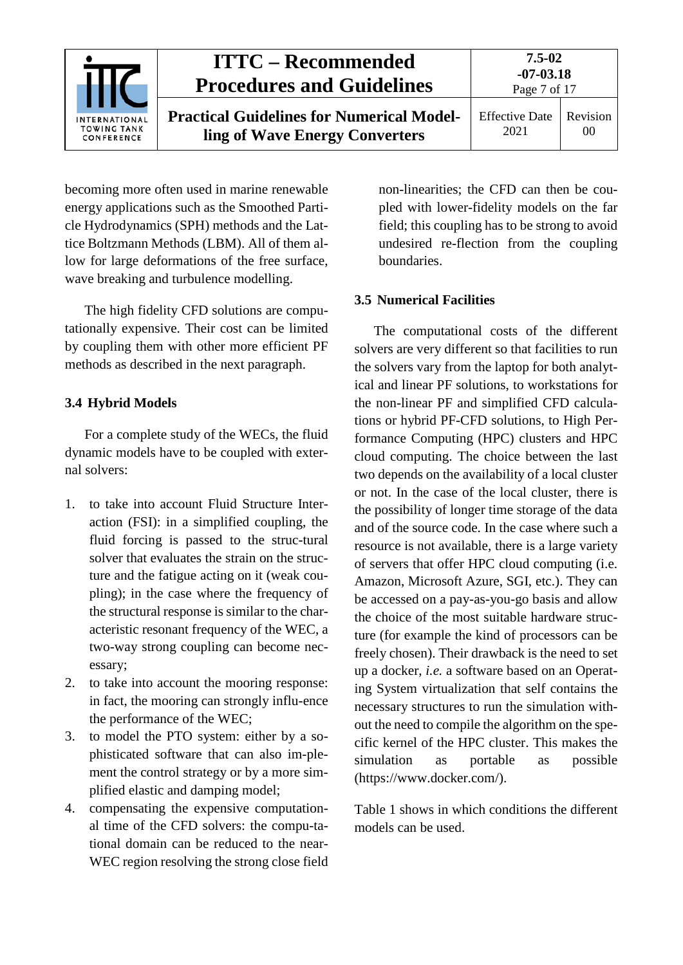

becoming more often used in marine renewable energy applications such as the Smoothed Particle Hydrodynamics (SPH) methods and the Lattice Boltzmann Methods (LBM). All of them allow for large deformations of the free surface, wave breaking and turbulence modelling.

The high fidelity CFD solutions are computationally expensive. Their cost can be limited by coupling them with other more efficient PF methods as described in the next paragraph.

### <span id="page-6-0"></span>**3.4 Hybrid Models**

For a complete study of the WECs, the fluid dynamic models have to be coupled with external solvers:

- 1. to take into account Fluid Structure Interaction (FSI): in a simplified coupling, the fluid forcing is passed to the struc-tural solver that evaluates the strain on the structure and the fatigue acting on it (weak coupling); in the case where the frequency of the structural response is similar to the characteristic resonant frequency of the WEC, a two-way strong coupling can become necessary;
- 2. to take into account the mooring response: in fact, the mooring can strongly influ-ence the performance of the WEC;
- 3. to model the PTO system: either by a sophisticated software that can also im-plement the control strategy or by a more simplified elastic and damping model;
- 4. compensating the expensive computational time of the CFD solvers: the compu-tational domain can be reduced to the near-WEC region resolving the strong close field

non-linearities; the CFD can then be coupled with lower-fidelity models on the far field; this coupling has to be strong to avoid undesired re-flection from the coupling boundaries.

### <span id="page-6-1"></span>**3.5 Numerical Facilities**

The computational costs of the different solvers are very different so that facilities to run the solvers vary from the laptop for both analytical and linear PF solutions, to workstations for the non-linear PF and simplified CFD calculations or hybrid PF-CFD solutions, to High Performance Computing (HPC) clusters and HPC cloud computing. The choice between the last two depends on the availability of a local cluster or not. In the case of the local cluster, there is the possibility of longer time storage of the data and of the source code. In the case where such a resource is not available, there is a large variety of servers that offer HPC cloud computing (i.e. Amazon, Microsoft Azure, SGI, etc.). They can be accessed on a pay-as-you-go basis and allow the choice of the most suitable hardware structure (for example the kind of processors can be freely chosen). Their drawback is the need to set up a docker, *i.e.* a software based on an Operating System virtualization that self contains the necessary structures to run the simulation without the need to compile the algorithm on the specific kernel of the HPC cluster. This makes the simulation as portable as possible (https://www.docker.com/).

Table 1 shows in which conditions the different models can be used.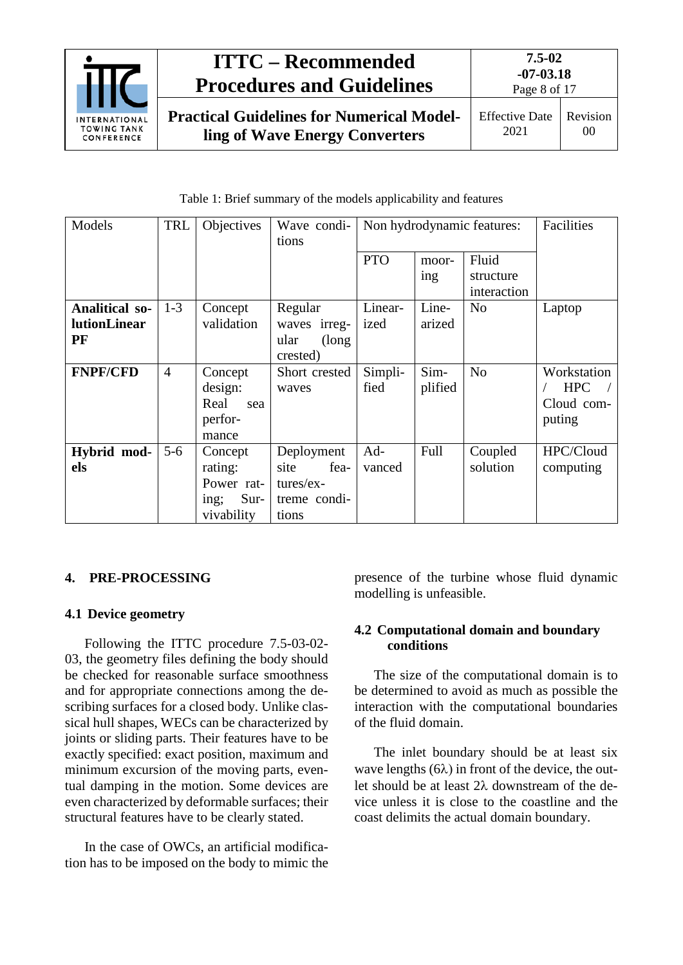

# **ITTC – Recommended Procedures and Guidelines**

**Practical Guidelines for Numerical Modelling of Wave Energy Converters**

Table 1: Brief summary of the models applicability and features

| Models                    | <b>TRL</b>     | Objectives       | Wave condi-<br>tions            | Non hydrodynamic features: |              | Facilities                        |             |
|---------------------------|----------------|------------------|---------------------------------|----------------------------|--------------|-----------------------------------|-------------|
|                           |                |                  |                                 | <b>PTO</b>                 | moor-<br>ing | Fluid<br>structure<br>interaction |             |
| <b>Analitical so-</b>     | $1-3$          | Concept          | Regular                         | Linear-                    | Line-        | N <sub>o</sub>                    | Laptop      |
| <b>lutionLinear</b><br>PF |                | validation       | irreg-<br>waves<br>ular<br>long | ized                       | arized       |                                   |             |
| <b>FNPF/CFD</b>           | $\overline{4}$ | Concept          | crested)<br>Short crested       | Simpli-                    | Sim-         | N <sub>o</sub>                    | Workstation |
|                           |                | design:          | waves                           | fied                       | plified      |                                   | <b>HPC</b>  |
|                           |                | Real<br>sea      |                                 |                            |              |                                   | Cloud com-  |
|                           |                | perfor-<br>mance |                                 |                            |              |                                   | puting      |
| Hybrid mod-               | $5 - 6$        | Concept          | Deployment                      | Ad-                        | Full         | Coupled                           | HPC/Cloud   |
| els                       |                | rating:          | site<br>fea-                    | vanced                     |              | solution                          | computing   |
|                           |                | Power rat-       | tures/ex-                       |                            |              |                                   |             |
|                           |                | Sur-<br>ing;     | treme condi-                    |                            |              |                                   |             |
|                           |                | vivability       | tions                           |                            |              |                                   |             |

# <span id="page-7-1"></span><span id="page-7-0"></span>**4. PRE-PROCESSING**

# **4.1 Device geometry**

Following the ITTC procedure 7.5-03-02- 03, the geometry files defining the body should be checked for reasonable surface smoothness and for appropriate connections among the describing surfaces for a closed body. Unlike classical hull shapes, WECs can be characterized by joints or sliding parts. Their features have to be exactly specified: exact position, maximum and minimum excursion of the moving parts, eventual damping in the motion. Some devices are even characterized by deformable surfaces; their structural features have to be clearly stated.

In the case of OWCs, an artificial modification has to be imposed on the body to mimic the presence of the turbine whose fluid dynamic modelling is unfeasible.

## <span id="page-7-2"></span>**4.2 Computational domain and boundary conditions**

The size of the computational domain is to be determined to avoid as much as possible the interaction with the computational boundaries of the fluid domain.

The inlet boundary should be at least six wave lengths  $(6\lambda)$  in front of the device, the outlet should be at least 2λ downstream of the device unless it is close to the coastline and the coast delimits the actual domain boundary.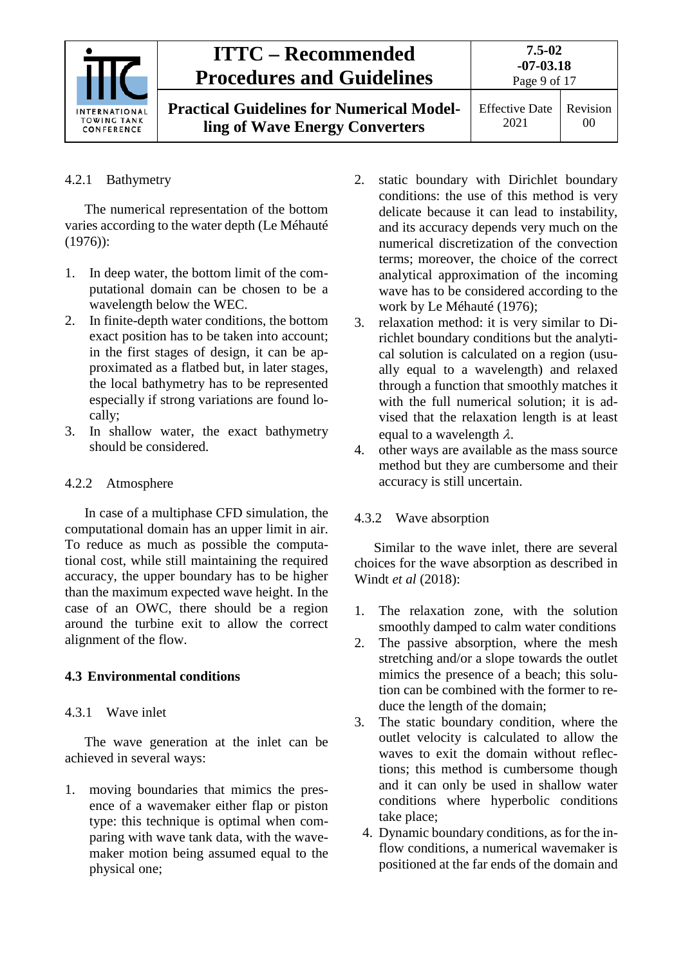|                                                          | <b>ITTC – Recommended</b><br><b>Procedures and Guidelines</b>                      | 7.5-02<br>$-07 - 03.18$<br>Page 9 of 17 |                |
|----------------------------------------------------------|------------------------------------------------------------------------------------|-----------------------------------------|----------------|
| <b>INTERNATIONAL</b><br><b>TOWING TANK</b><br>CONFERENCE | <b>Practical Guidelines for Numerical Model-</b><br>ling of Wave Energy Converters | <b>Effective Date</b><br>2021           | Revision<br>00 |

### <span id="page-8-0"></span>4.2.1 Bathymetry

The numerical representation of the bottom varies according to the water depth (Le Méhauté (1976)):

- 1. In deep water, the bottom limit of the computational domain can be chosen to be a wavelength below the WEC.
- 2. In finite-depth water conditions, the bottom exact position has to be taken into account; in the first stages of design, it can be approximated as a flatbed but, in later stages, the local bathymetry has to be represented especially if strong variations are found locally;
- 3. In shallow water, the exact bathymetry should be considered.

### <span id="page-8-1"></span>4.2.2 Atmosphere

In case of a multiphase CFD simulation, the computational domain has an upper limit in air. To reduce as much as possible the computational cost, while still maintaining the required accuracy, the upper boundary has to be higher than the maximum expected wave height. In the case of an OWC, there should be a region around the turbine exit to allow the correct alignment of the flow.

## <span id="page-8-3"></span><span id="page-8-2"></span>**4.3 Environmental conditions**

### 4.3.1 Wave inlet

The wave generation at the inlet can be achieved in several ways:

1. moving boundaries that mimics the presence of a wavemaker either flap or piston type: this technique is optimal when comparing with wave tank data, with the wavemaker motion being assumed equal to the physical one;

- 2. static boundary with Dirichlet boundary conditions: the use of this method is very delicate because it can lead to instability, and its accuracy depends very much on the numerical discretization of the convection terms; moreover, the choice of the correct analytical approximation of the incoming wave has to be considered according to the work by Le Méhauté (1976);
- 3. relaxation method: it is very similar to Dirichlet boundary conditions but the analytical solution is calculated on a region (usually equal to a wavelength) and relaxed through a function that smoothly matches it with the full numerical solution; it is advised that the relaxation length is at least equal to a wavelength  $\lambda$ .
- 4. other ways are available as the mass source method but they are cumbersome and their accuracy is still uncertain.

### <span id="page-8-4"></span>4.3.2 Wave absorption

Similar to the wave inlet, there are several choices for the wave absorption as described in Windt *et al* (2018):

- 1. The relaxation zone, with the solution smoothly damped to calm water conditions
- 2. The passive absorption, where the mesh stretching and/or a slope towards the outlet mimics the presence of a beach; this solution can be combined with the former to reduce the length of the domain;
- 3. The static boundary condition, where the outlet velocity is calculated to allow the waves to exit the domain without reflections; this method is cumbersome though and it can only be used in shallow water conditions where hyperbolic conditions take place;
	- 4. Dynamic boundary conditions, as for the inflow conditions, a numerical wavemaker is positioned at the far ends of the domain and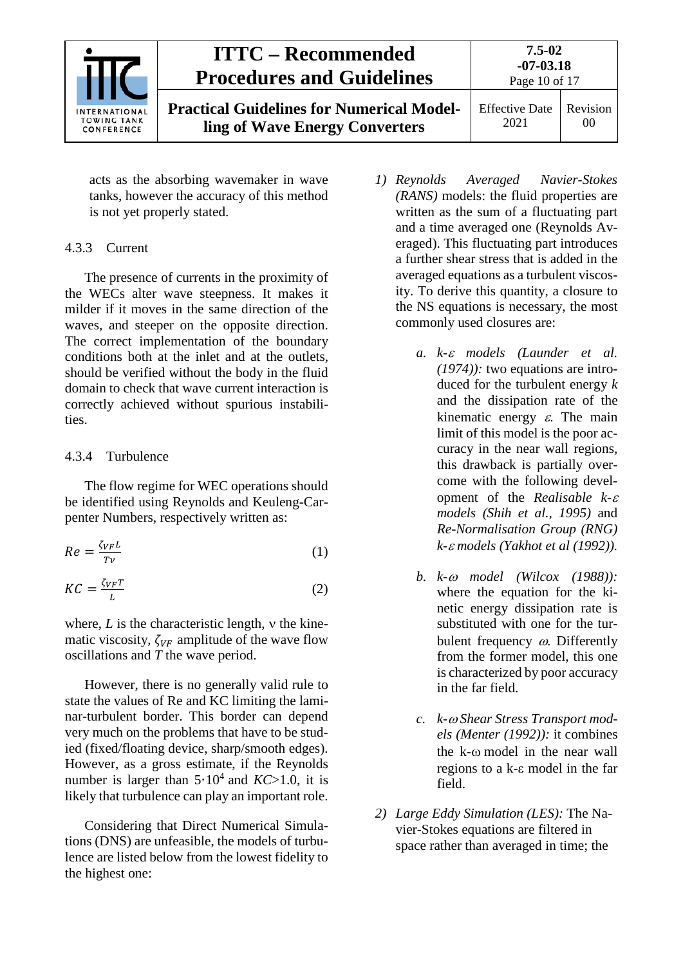

acts as the absorbing wavemaker in wave tanks, however the accuracy of this method is not yet properly stated.

### <span id="page-9-0"></span>4.3.3 Current

The presence of currents in the proximity of the WECs alter wave steepness. It makes it milder if it moves in the same direction of the waves, and steeper on the opposite direction. The correct implementation of the boundary conditions both at the inlet and at the outlets, should be verified without the body in the fluid domain to check that wave current interaction is correctly achieved without spurious instabilities.

### <span id="page-9-1"></span>4.3.4 Turbulence

The flow regime for WEC operations should be identified using Reynolds and Keuleng-Carpenter Numbers, respectively written as:

$$
Re = \frac{\zeta_{VFL}}{T_v} \tag{1}
$$

$$
KC = \frac{\zeta_{VF}T}{L} \tag{2}
$$

where, *L* is the characteristic length, ν the kinematic viscosity,  $\zeta_{VF}$  amplitude of the wave flow oscillations and *T* the wave period.

However, there is no generally valid rule to state the values of Re and KC limiting the laminar-turbulent border. This border can depend very much on the problems that have to be studied (fixed/floating device, sharp/smooth edges). However, as a gross estimate, if the Reynolds number is larger than 5∙104 and *KC*>1.0, it is likely that turbulence can play an important role.

Considering that Direct Numerical Simulations (DNS) are unfeasible, the models of turbulence are listed below from the lowest fidelity to the highest one:

- *1) Reynolds Averaged Navier-Stokes (RANS)* models: the fluid properties are written as the sum of a fluctuating part and a time averaged one (Reynolds Averaged). This fluctuating part introduces a further shear stress that is added in the averaged equations as a turbulent viscosity. To derive this quantity, a closure to the NS equations is necessary, the most commonly used closures are:
	- *a. k-*<sup>ε</sup> *models (Launder et al. (1974)):* two equations are introduced for the turbulent energy *k* and the dissipation rate of the kinematic energy  $\varepsilon$ . The main limit of this model is the poor accuracy in the near wall regions*,*  this drawback is partially overcome with the following development of the *Realisable k-*<sup>ε</sup> *models (Shih et al., 1995)* and *Re-Normalisation Group (RNG) k-*<sup>ε</sup> *models (Yakhot et al (1992)).*
	- *b. k-*<sup>ω</sup> *model (Wilcox (1988)):*  where the equation for the kinetic energy dissipation rate is substituted with one for the turbulent frequency ω. Differently from the former model, this one is characterized by poor accuracy in the far field.
	- *c. k-*<sup>ω</sup> *Shear Stress Transport models (Menter (1992)):* it combines the k-ω model in the near wall regions to a k-ε model in the far field.
- *2) Large Eddy Simulation (LES):* The Navier-Stokes equations are filtered in space rather than averaged in time; the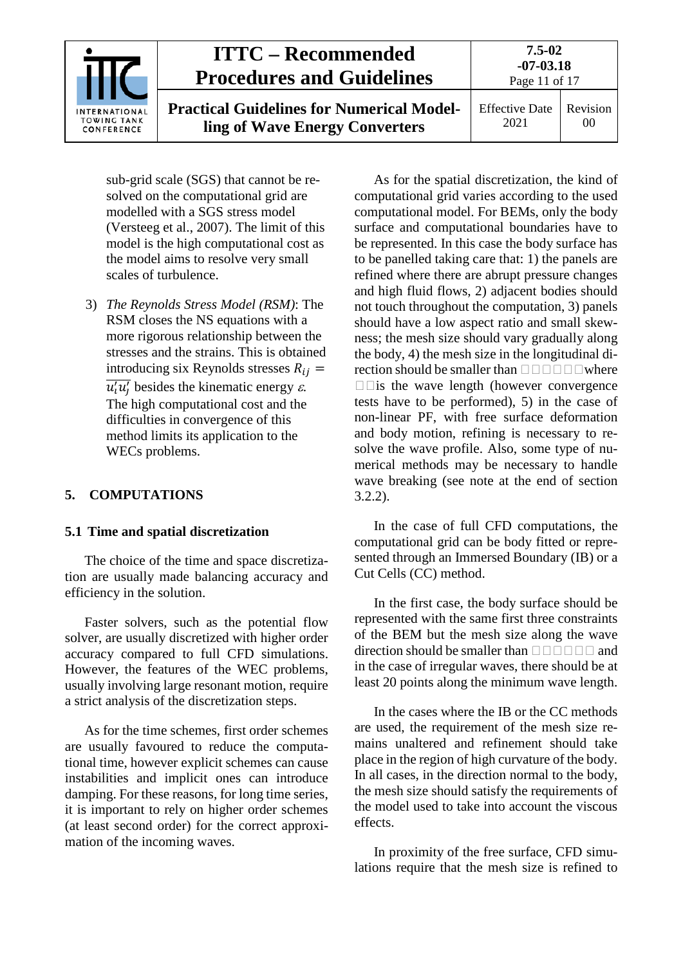|                                                          | <b>ITTC – Recommended</b><br><b>Procedures and Guidelines</b>                      | $7.5 - 02$<br>$-07 - 03.18$<br>Page 11 of 17 |                |
|----------------------------------------------------------|------------------------------------------------------------------------------------|----------------------------------------------|----------------|
| <b>INTERNATIONAL</b><br><b>TOWING TANK</b><br>CONFERENCE | <b>Practical Guidelines for Numerical Model-</b><br>ling of Wave Energy Converters | <b>Effective Date</b><br>2021                | Revision<br>00 |

sub-grid scale (SGS) that cannot be resolved on the computational grid are modelled with a SGS stress model (Versteeg et al., 2007). The limit of this model is the high computational cost as the model aims to resolve very small scales of turbulence.

3) *The Reynolds Stress Model (RSM)*: The RSM closes the NS equations with a more rigorous relationship between the stresses and the strains. This is obtained introducing six Reynolds stresses  $R_{ij}$  =  $\overline{u'_i u'_j}$  besides the kinematic energy  $\varepsilon$ . The high computational cost and the difficulties in convergence of this method limits its application to the WECs problems.

### <span id="page-10-1"></span><span id="page-10-0"></span>**5. COMPUTATIONS**

### **5.1 Time and spatial discretization**

The choice of the time and space discretization are usually made balancing accuracy and efficiency in the solution.

Faster solvers, such as the potential flow solver, are usually discretized with higher order accuracy compared to full CFD simulations. However, the features of the WEC problems, usually involving large resonant motion, require a strict analysis of the discretization steps.

As for the time schemes, first order schemes are usually favoured to reduce the computational time, however explicit schemes can cause instabilities and implicit ones can introduce damping. For these reasons, for long time series, it is important to rely on higher order schemes (at least second order) for the correct approximation of the incoming waves.

As for the spatial discretization, the kind of computational grid varies according to the used computational model. For BEMs, only the body surface and computational boundaries have to be represented. In this case the body surface has to be panelled taking care that: 1) the panels are refined where there are abrupt pressure changes and high fluid flows, 2) adjacent bodies should not touch throughout the computation, 3) panels should have a low aspect ratio and small skewness; the mesh size should vary gradually along the body, 4) the mesh size in the longitudinal direction should be smaller than  $\square \square \square \square \square$  where  $\square$  is the wave length (however convergence tests have to be performed), 5) in the case of non-linear PF, with free surface deformation and body motion, refining is necessary to resolve the wave profile. Also, some type of numerical methods may be necessary to handle wave breaking (see note at the end of section 3.2.2).

In the case of full CFD computations, the computational grid can be body fitted or represented through an Immersed Boundary (IB) or a Cut Cells (CC) method.

In the first case, the body surface should be represented with the same first three constraints of the BEM but the mesh size along the wave direction should be smaller than  $\Box \Box \Box \Box \Box$  and in the case of irregular waves, there should be at least 20 points along the minimum wave length.

In the cases where the IB or the CC methods are used, the requirement of the mesh size remains unaltered and refinement should take place in the region of high curvature of the body. In all cases, in the direction normal to the body, the mesh size should satisfy the requirements of the model used to take into account the viscous effects.

In proximity of the free surface, CFD simulations require that the mesh size is refined to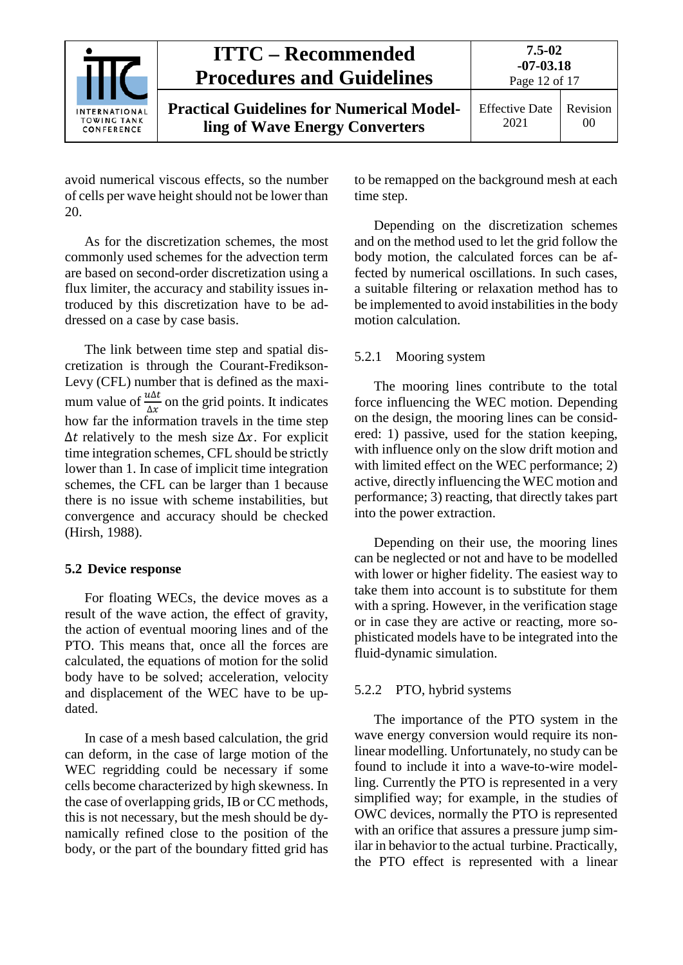|                                                          | <b>ITTC – Recommended</b><br><b>Procedures and Guidelines</b>                      | 7.5-02<br>$-07 - 03.18$<br>Page 12 of 17 |                |
|----------------------------------------------------------|------------------------------------------------------------------------------------|------------------------------------------|----------------|
| <b>INTERNATIONAL</b><br><b>TOWING TANK</b><br>CONFERENCE | <b>Practical Guidelines for Numerical Model-</b><br>ling of Wave Energy Converters | <b>Effective Date</b><br>2021            | Revision<br>00 |

avoid numerical viscous effects, so the number of cells per wave height should not be lower than 20.

As for the discretization schemes, the most commonly used schemes for the advection term are based on second-order discretization using a flux limiter, the accuracy and stability issues introduced by this discretization have to be addressed on a case by case basis.

The link between time step and spatial discretization is through the Courant-Fredikson-Levy (CFL) number that is defined as the maximum value of  $\frac{u\Delta t}{\Delta x}$  on the grid points. It indicates how far the information travels in the time step  $\Delta t$  relatively to the mesh size  $\Delta x$ . For explicit time integration schemes, CFL should be strictly lower than 1. In case of implicit time integration schemes, the CFL can be larger than 1 because there is no issue with scheme instabilities, but convergence and accuracy should be checked (Hirsh, 1988).

#### <span id="page-11-0"></span>**5.2 Device response**

For floating WECs, the device moves as a result of the wave action, the effect of gravity, the action of eventual mooring lines and of the PTO. This means that, once all the forces are calculated, the equations of motion for the solid body have to be solved; acceleration, velocity and displacement of the WEC have to be updated.

In case of a mesh based calculation, the grid can deform, in the case of large motion of the WEC regridding could be necessary if some cells become characterized by high skewness. In the case of overlapping grids, IB or CC methods, this is not necessary, but the mesh should be dynamically refined close to the position of the body, or the part of the boundary fitted grid has

to be remapped on the background mesh at each time step.

Depending on the discretization schemes and on the method used to let the grid follow the body motion, the calculated forces can be affected by numerical oscillations. In such cases, a suitable filtering or relaxation method has to be implemented to avoid instabilities in the body motion calculation.

### <span id="page-11-1"></span>5.2.1 Mooring system

The mooring lines contribute to the total force influencing the WEC motion. Depending on the design, the mooring lines can be considered: 1) passive, used for the station keeping, with influence only on the slow drift motion and with limited effect on the WEC performance; 2) active, directly influencing the WEC motion and performance; 3) reacting, that directly takes part into the power extraction.

Depending on their use, the mooring lines can be neglected or not and have to be modelled with lower or higher fidelity. The easiest way to take them into account is to substitute for them with a spring. However, in the verification stage or in case they are active or reacting, more sophisticated models have to be integrated into the fluid-dynamic simulation.

### <span id="page-11-2"></span>5.2.2 PTO, hybrid systems

The importance of the PTO system in the wave energy conversion would require its nonlinear modelling. Unfortunately, no study can be found to include it into a wave-to-wire modelling. Currently the PTO is represented in a very simplified way; for example, in the studies of OWC devices, normally the PTO is represented with an orifice that assures a pressure jump similar in behavior to the actual turbine. Practically, the PTO effect is represented with a linear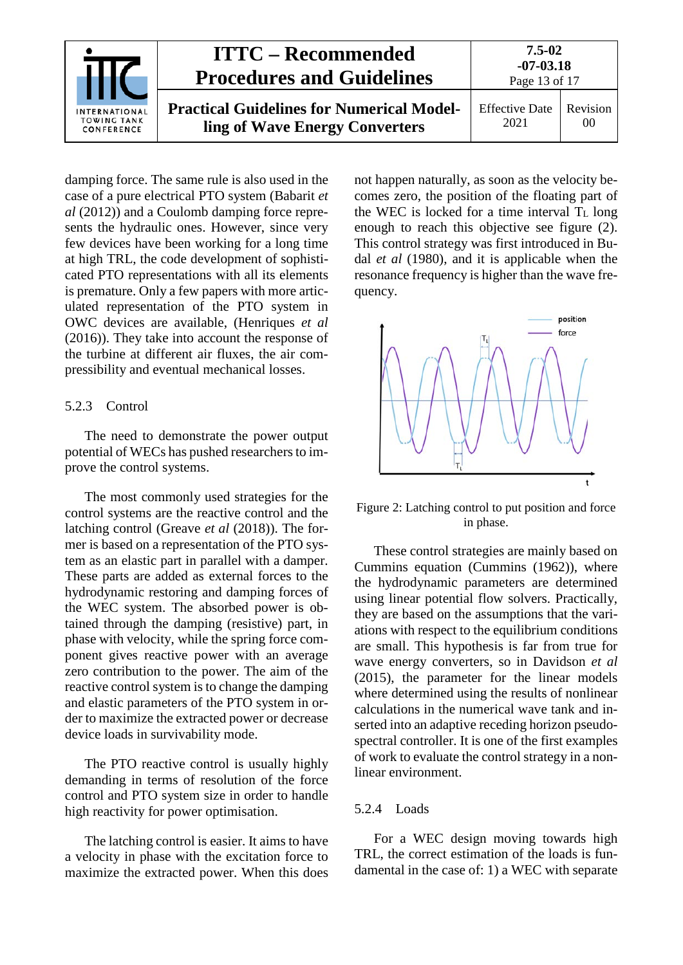|                                                   | <b>ITTC – Recommended</b><br><b>Procedures and Guidelines</b>                      | 7.5-02<br>$-07 - 03.18$<br>Page 13 of 17 |                |
|---------------------------------------------------|------------------------------------------------------------------------------------|------------------------------------------|----------------|
| INTERNATIONAL<br><b>TOWING TANK</b><br>CONFERENCE | <b>Practical Guidelines for Numerical Model-</b><br>ling of Wave Energy Converters | <b>Effective Date</b><br>2021            | Revision<br>00 |

damping force. The same rule is also used in the case of a pure electrical PTO system (Babarit *et al* (2012)) and a Coulomb damping force represents the hydraulic ones. However, since very few devices have been working for a long time at high TRL, the code development of sophisticated PTO representations with all its elements is premature. Only a few papers with more articulated representation of the PTO system in OWC devices are available, (Henriques *et al* (2016)). They take into account the response of the turbine at different air fluxes, the air compressibility and eventual mechanical losses.

### <span id="page-12-0"></span>5.2.3 Control

The need to demonstrate the power output potential of WECs has pushed researchers to improve the control systems.

The most commonly used strategies for the control systems are the reactive control and the latching control (Greave *et al* (2018)). The former is based on a representation of the PTO system as an elastic part in parallel with a damper. These parts are added as external forces to the hydrodynamic restoring and damping forces of the WEC system. The absorbed power is obtained through the damping (resistive) part, in phase with velocity, while the spring force component gives reactive power with an average zero contribution to the power. The aim of the reactive control system is to change the damping and elastic parameters of the PTO system in order to maximize the extracted power or decrease device loads in survivability mode.

The PTO reactive control is usually highly demanding in terms of resolution of the force control and PTO system size in order to handle high reactivity for power optimisation.

The latching control is easier. It aims to have a velocity in phase with the excitation force to maximize the extracted power. When this does

not happen naturally, as soon as the velocity becomes zero, the position of the floating part of the WEC is locked for a time interval  $T_L$  long enough to reach this objective see figure (2). This control strategy was first introduced in Budal *et al* (1980), and it is applicable when the resonance frequency is higher than the wave frequency.



Figure 2: Latching control to put position and force in phase.

These control strategies are mainly based on Cummins equation (Cummins (1962)), where the hydrodynamic parameters are determined using linear potential flow solvers. Practically, they are based on the assumptions that the variations with respect to the equilibrium conditions are small. This hypothesis is far from true for wave energy converters, so in Davidson *et al* (2015), the parameter for the linear models where determined using the results of nonlinear calculations in the numerical wave tank and inserted into an adaptive receding horizon pseudospectral controller. It is one of the first examples of work to evaluate the control strategy in a nonlinear environment.

### <span id="page-12-1"></span>5.2.4 Loads

For a WEC design moving towards high TRL, the correct estimation of the loads is fundamental in the case of: 1) a WEC with separate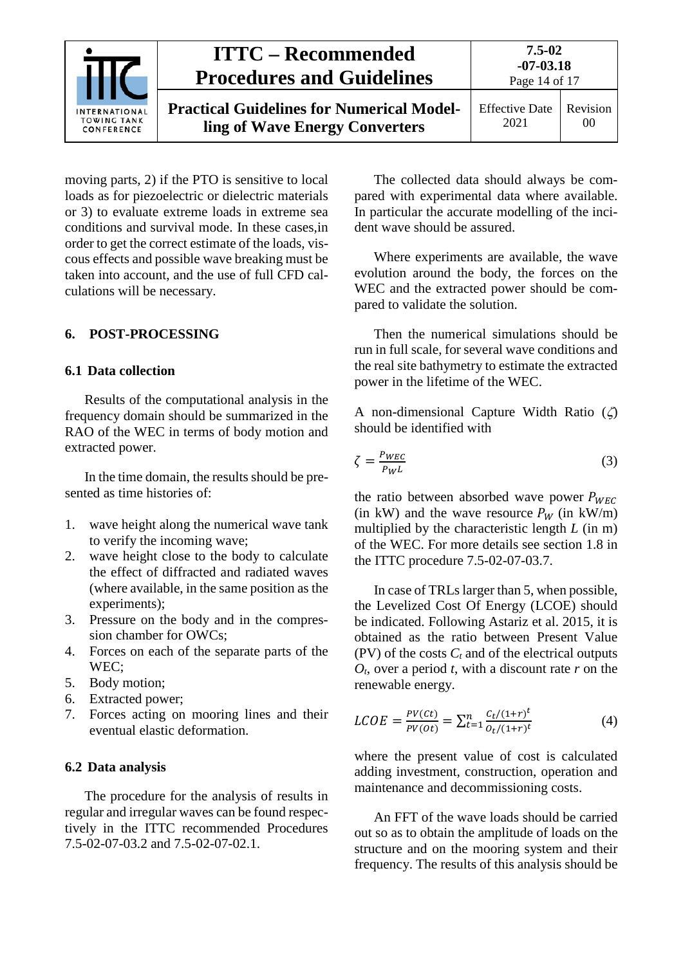|                                                          | <b>ITTC</b> – Recommended<br><b>Procedures and Guidelines</b>                      | $7.5 - 02$<br>$-07 - 03.18$<br>Page 14 of 17 |                            |
|----------------------------------------------------------|------------------------------------------------------------------------------------|----------------------------------------------|----------------------------|
| <b>INTERNATIONAL</b><br><b>TOWING TANK</b><br>CONFERENCE | <b>Practical Guidelines for Numerical Model-</b><br>ling of Wave Energy Converters | <b>Effective Date</b><br>2021                | Revision<br>0 <sup>0</sup> |

moving parts, 2) if the PTO is sensitive to local loads as for piezoelectric or dielectric materials or 3) to evaluate extreme loads in extreme sea conditions and survival mode. In these cases,in order to get the correct estimate of the loads, viscous effects and possible wave breaking must be taken into account, and the use of full CFD calculations will be necessary.

### <span id="page-13-1"></span><span id="page-13-0"></span>**6. POST-PROCESSING**

### **6.1 Data collection**

Results of the computational analysis in the frequency domain should be summarized in the RAO of the WEC in terms of body motion and extracted power.

In the time domain, the results should be presented as time histories of:

- 1. wave height along the numerical wave tank to verify the incoming wave;
- 2. wave height close to the body to calculate the effect of diffracted and radiated waves (where available, in the same position as the experiments);
- 3. Pressure on the body and in the compression chamber for OWCs;
- 4. Forces on each of the separate parts of the WEC;
- 5. Body motion;
- 6. Extracted power;
- 7. Forces acting on mooring lines and their eventual elastic deformation.

#### <span id="page-13-2"></span>**6.2 Data analysis**

The procedure for the analysis of results in regular and irregular waves can be found respectively in the ITTC recommended Procedures 7.5-02-07-03.2 and 7.5-02-07-02.1.

The collected data should always be compared with experimental data where available. In particular the accurate modelling of the incident wave should be assured.

Where experiments are available, the wave evolution around the body, the forces on the WEC and the extracted power should be compared to validate the solution.

Then the numerical simulations should be run in full scale, for several wave conditions and the real site bathymetry to estimate the extracted power in the lifetime of the WEC.

A non-dimensional Capture Width Ratio (ζ) should be identified with

$$
\zeta = \frac{P_{WEC}}{P_W L} \tag{3}
$$

the ratio between absorbed wave power  $P_{WEC}$ (in kW) and the wave resource  $P_W$  (in kW/m) multiplied by the characteristic length *L* (in m) of the WEC. For more details see section 1.8 in the ITTC procedure 7.5-02-07-03.7.

In case of TRLs larger than 5, when possible, the Levelized Cost Of Energy (LCOE) should be indicated. Following Astariz et al. 2015, it is obtained as the ratio between Present Value (PV) of the costs  $C_t$  and of the electrical outputs *Ot*, over a period *t*, with a discount rate *r* on the renewable energy.

$$
LCOE = \frac{PV(ct)}{PV(o_t)} = \sum_{t=1}^{n} \frac{c_t/(1+r)^t}{o_t/(1+r)^t}
$$
(4)

where the present value of cost is calculated adding investment, construction, operation and maintenance and decommissioning costs.

An FFT of the wave loads should be carried out so as to obtain the amplitude of loads on the structure and on the mooring system and their frequency. The results of this analysis should be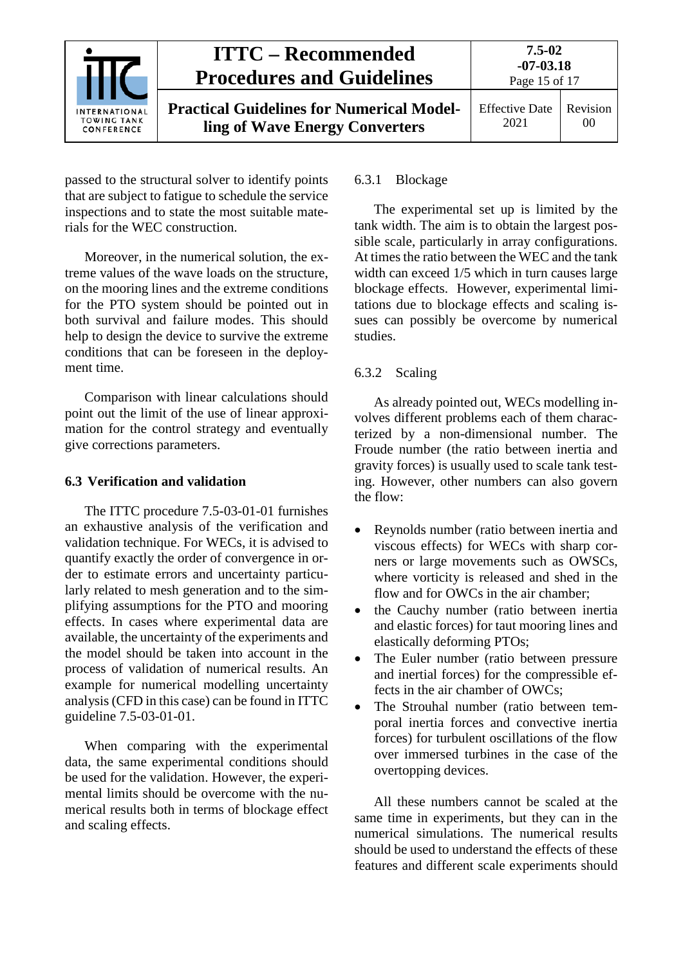

passed to the structural solver to identify points that are subject to fatigue to schedule the service inspections and to state the most suitable materials for the WEC construction.

Moreover, in the numerical solution, the extreme values of the wave loads on the structure, on the mooring lines and the extreme conditions for the PTO system should be pointed out in both survival and failure modes. This should help to design the device to survive the extreme conditions that can be foreseen in the deployment time.

Comparison with linear calculations should point out the limit of the use of linear approximation for the control strategy and eventually give corrections parameters.

### <span id="page-14-0"></span>**6.3 Verification and validation**

The ITTC procedure 7.5-03-01-01 furnishes an exhaustive analysis of the verification and validation technique. For WECs, it is advised to quantify exactly the order of convergence in order to estimate errors and uncertainty particularly related to mesh generation and to the simplifying assumptions for the PTO and mooring effects. In cases where experimental data are available, the uncertainty of the experiments and the model should be taken into account in the process of validation of numerical results. An example for numerical modelling uncertainty analysis (CFD in this case) can be found in ITTC guideline 7.5-03-01-01.

When comparing with the experimental data, the same experimental conditions should be used for the validation. However, the experimental limits should be overcome with the numerical results both in terms of blockage effect and scaling effects.

### <span id="page-14-1"></span>6.3.1 Blockage

The experimental set up is limited by the tank width. The aim is to obtain the largest possible scale, particularly in array configurations. At times the ratio between the WEC and the tank width can exceed  $1/5$  which in turn causes large blockage effects. However, experimental limitations due to blockage effects and scaling issues can possibly be overcome by numerical studies.

### <span id="page-14-2"></span>6.3.2 Scaling

As already pointed out, WECs modelling involves different problems each of them characterized by a non-dimensional number. The Froude number (the ratio between inertia and gravity forces) is usually used to scale tank testing. However, other numbers can also govern the flow:

- Reynolds number (ratio between inertia and viscous effects) for WECs with sharp corners or large movements such as OWSCs, where vorticity is released and shed in the flow and for OWCs in the air chamber;
- the Cauchy number (ratio between inertia and elastic forces) for taut mooring lines and elastically deforming PTOs;
- The Euler number (ratio between pressure and inertial forces) for the compressible effects in the air chamber of OWCs;
- The Strouhal number (ratio between temporal inertia forces and convective inertia forces) for turbulent oscillations of the flow over immersed turbines in the case of the overtopping devices.

All these numbers cannot be scaled at the same time in experiments, but they can in the numerical simulations. The numerical results should be used to understand the effects of these features and different scale experiments should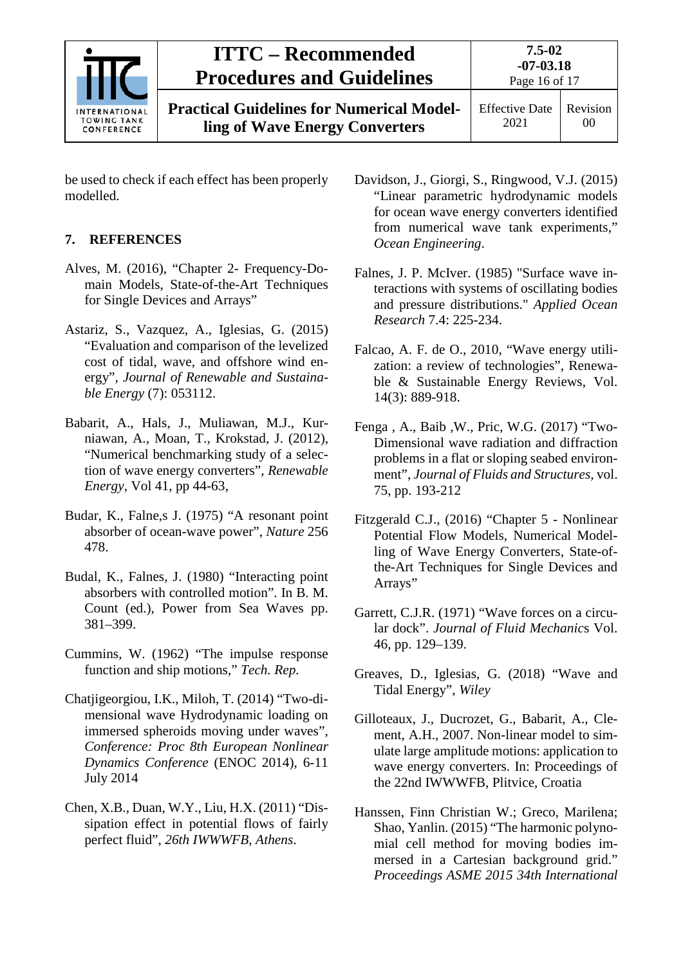

**Practical Guidelines for Numerical Modelling of Wave Energy Converters**

be used to check if each effect has been properly modelled.

## <span id="page-15-0"></span>**7. REFERENCES**

- Alves, M. (2016), "Chapter 2- Frequency-Domain Models, State-of-the-Art Techniques for Single Devices and Arrays"
- Astariz, S., Vazquez, A., Iglesias, G. (2015) "Evaluation and comparison of the levelized cost of tidal, wave, and offshore wind energy", *Journal of Renewable and Sustainable Energy* (7): 053112.
- Babarit, A., Hals, J., Muliawan, M.J., Kurniawan, A., Moan, T., Krokstad, J. (2012), "Numerical benchmarking study of a selection of wave energy converters", *Renewable Energy*, Vol 41, pp 44-63,
- Budar, K., Falne,s J. (1975) "A resonant point absorber of ocean-wave power", *Nature* 256 478.
- Budal, K., Falnes, J. (1980) "Interacting point absorbers with controlled motion". In B. M. Count (ed.), Power from Sea Waves pp. 381–399.
- Cummins, W. (1962) "The impulse response function and ship motions," *Tech. Rep*.
- Chatjigeorgiou, I.K., Miloh, T. (2014) "Two-dimensional wave Hydrodynamic loading on immersed spheroids moving under waves", *Conference: Proc 8th European Nonlinear Dynamics Conference* (ENOC 2014), 6-11 July 2014
- Chen, X.B., Duan, W.Y., Liu, H.X. (2011) "Dissipation effect in potential flows of fairly perfect fluid", *26th IWWWFB, Athens*.
- Davidson, J., Giorgi, S., Ringwood, V.J. (2015) "Linear parametric hydrodynamic models for ocean wave energy converters identified from numerical wave tank experiments," *Ocean Engineering*.
- Falnes, J. P. McIver. (1985) "Surface wave interactions with systems of oscillating bodies and pressure distributions." *Applied Ocean Research* 7.4: 225-234.
- Falcao, A. F. de O., 2010, "Wave energy utilization: a review of technologies", Renewable & Sustainable Energy Reviews, Vol. 14(3): 889-918.
- Fenga , A., Baib ,W., Pric, W.G. (2017) "Two-Dimensional wave radiation and diffraction problems in a flat or sloping seabed environment", *Journal of Fluids and Structures*, vol. 75, pp. 193-212
- Fitzgerald C.J., (2016) "Chapter 5 Nonlinear Potential Flow Models, Numerical Modelling of Wave Energy Converters, State-ofthe-Art Techniques for Single Devices and Arrays"
- Garrett, C.J.R. (1971) "Wave forces on a circular dock". *Journal of Fluid Mechanic*s Vol. 46, pp. 129–139.
- Greaves, D., Iglesias, G. (2018) "Wave and Tidal Energy", *Wiley*
- Gilloteaux, J., Ducrozet, G., Babarit, A., Clement, A.H., 2007. Non-linear model to simulate large amplitude motions: application to wave energy converters. In: Proceedings of the 22nd IWWWFB, Plitvice, Croatia
- Hanssen, Finn Christian W.; Greco, Marilena; Shao, Yanlin. (2015) "The harmonic polynomial cell method for moving bodies immersed in a Cartesian background grid." *Proceedings ASME 2015 34th International*